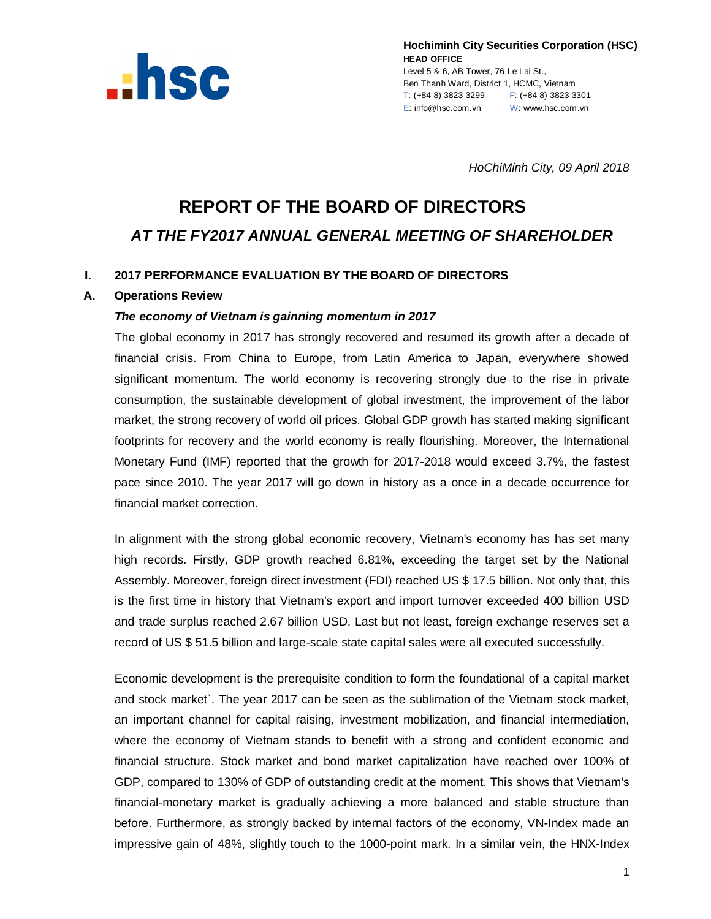

**Hochiminh City Securities Corporation (HSC) HEAD OFFICE** Level 5 & 6, AB Tower, 76 Le Lai St., Ben Thanh Ward, District 1, HCMC, Vietnam T: (+84 8) 3823 3299 F: (+84 8) 3823 3301 E: info@hsc.com.vn W: www.hsc.com.vn

*HoChiMinh City, 09 April 2018*

# **REPORT OF THE BOARD OF DIRECTORS** *AT THE FY2017 ANNUAL GENERAL MEETING OF SHAREHOLDER*

# **I. 2017 PERFORMANCE EVALUATION BY THE BOARD OF DIRECTORS**

#### **A. Operations Review**

#### *The economy of Vietnam is gainning momentum in 2017*

The global economy in 2017 has strongly recovered and resumed its growth after a decade of financial crisis. From China to Europe, from Latin America to Japan, everywhere showed significant momentum. The world economy is recovering strongly due to the rise in private consumption, the sustainable development of global investment, the improvement of the labor market, the strong recovery of world oil prices. Global GDP growth has started making significant footprints for recovery and the world economy is really flourishing. Moreover, the International Monetary Fund (IMF) reported that the growth for 2017-2018 would exceed 3.7%, the fastest pace since 2010. The year 2017 will go down in history as a once in a decade occurrence for financial market correction.

In alignment with the strong global economic recovery, Vietnam's economy has has set many high records. Firstly, GDP growth reached 6.81%, exceeding the target set by the National Assembly. Moreover, foreign direct investment (FDI) reached US \$ 17.5 billion. Not only that, this is the first time in history that Vietnam's export and import turnover exceeded 400 billion USD and trade surplus reached 2.67 billion USD. Last but not least, foreign exchange reserves set a record of US \$ 51.5 billion and large-scale state capital sales were all executed successfully.

Economic development is the prerequisite condition to form the foundational of a capital market and stock market`. The year 2017 can be seen as the sublimation of the Vietnam stock market, an important channel for capital raising, investment mobilization, and financial intermediation, where the economy of Vietnam stands to benefit with a strong and confident economic and financial structure. Stock market and bond market capitalization have reached over 100% of GDP, compared to 130% of GDP of outstanding credit at the moment. This shows that Vietnam's financial-monetary market is gradually achieving a more balanced and stable structure than before. Furthermore, as strongly backed by internal factors of the economy, VN-Index made an impressive gain of 48%, slightly touch to the 1000-point mark. In a similar vein, the HNX-Index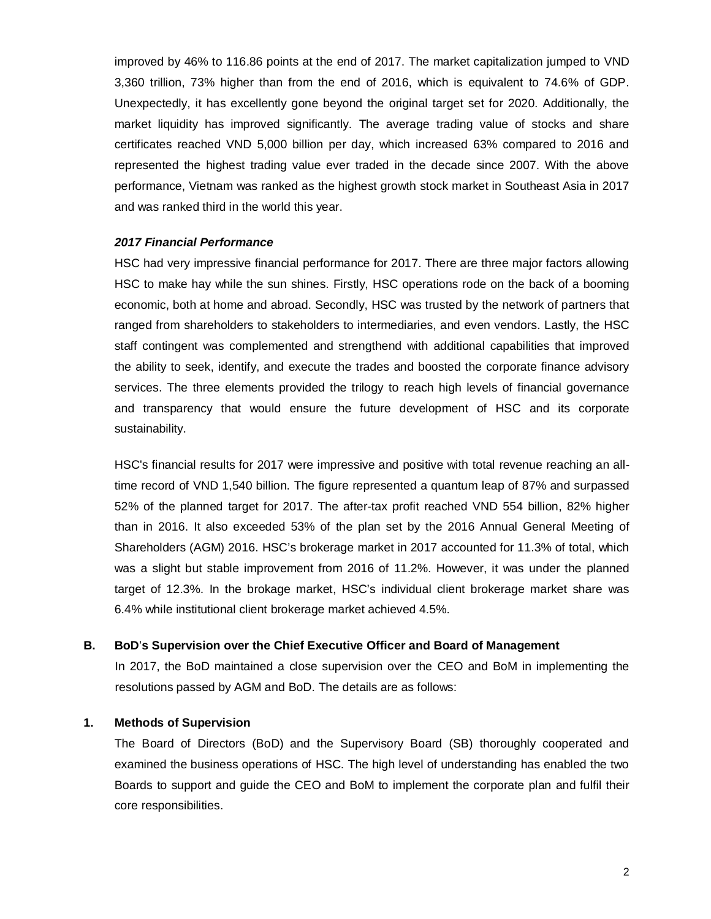improved by 46% to 116.86 points at the end of 2017. The market capitalization jumped to VND 3,360 trillion, 73% higher than from the end of 2016, which is equivalent to 74.6% of GDP. Unexpectedly, it has excellently gone beyond the original target set for 2020. Additionally, the market liquidity has improved significantly. The average trading value of stocks and share certificates reached VND 5,000 billion per day, which increased 63% compared to 2016 and represented the highest trading value ever traded in the decade since 2007. With the above performance, Vietnam was ranked as the highest growth stock market in Southeast Asia in 2017 and was ranked third in the world this year.

#### *2017 Financial Performance*

HSC had very impressive financial performance for 2017. There are three major factors allowing HSC to make hay while the sun shines. Firstly, HSC operations rode on the back of a booming economic, both at home and abroad. Secondly, HSC was trusted by the network of partners that ranged from shareholders to stakeholders to intermediaries, and even vendors. Lastly, the HSC staff contingent was complemented and strengthend with additional capabilities that improved the ability to seek, identify, and execute the trades and boosted the corporate finance advisory services. The three elements provided the trilogy to reach high levels of financial governance and transparency that would ensure the future development of HSC and its corporate sustainability.

HSC's financial results for 2017 were impressive and positive with total revenue reaching an alltime record of VND 1,540 billion. The figure represented a quantum leap of 87% and surpassed 52% of the planned target for 2017. The after-tax profit reached VND 554 billion, 82% higher than in 2016. It also exceeded 53% of the plan set by the 2016 Annual General Meeting of Shareholders (AGM) 2016. HSC's brokerage market in 2017 accounted for 11.3% of total, which was a slight but stable improvement from 2016 of 11.2%. However, it was under the planned target of 12.3%. In the brokage market, HSC's individual client brokerage market share was 6.4% while institutional client brokerage market achieved 4.5%.

#### **B. BoD**'**s Supervision over the Chief Executive Officer and Board of Management**

In 2017, the BoD maintained a close supervision over the CEO and BoM in implementing the resolutions passed by AGM and BoD. The details are as follows:

#### **1. Methods of Supervision**

The Board of Directors (BoD) and the Supervisory Board (SB) thoroughly cooperated and examined the business operations of HSC. The high level of understanding has enabled the two Boards to support and guide the CEO and BoM to implement the corporate plan and fulfil their core responsibilities.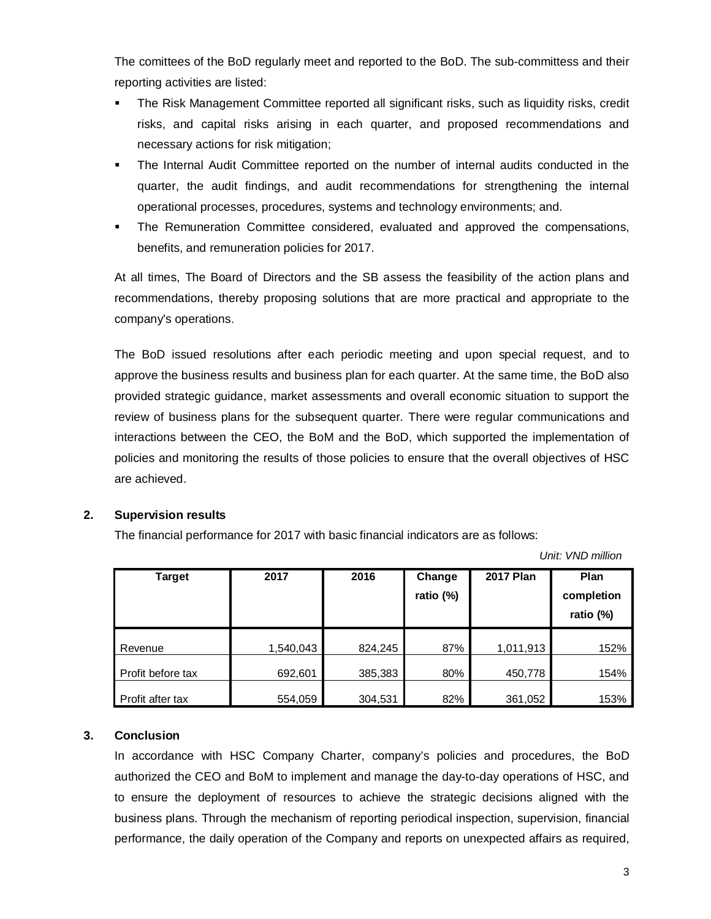The comittees of the BoD regularly meet and reported to the BoD. The sub-committess and their reporting activities are listed:

- The Risk Management Committee reported all significant risks, such as liquidity risks, credit risks, and capital risks arising in each quarter, and proposed recommendations and necessary actions for risk mitigation;
- The Internal Audit Committee reported on the number of internal audits conducted in the quarter, the audit findings, and audit recommendations for strengthening the internal operational processes, procedures, systems and technology environments; and.
- The Remuneration Committee considered, evaluated and approved the compensations, benefits, and remuneration policies for 2017.

At all times, The Board of Directors and the SB assess the feasibility of the action plans and recommendations, thereby proposing solutions that are more practical and appropriate to the company's operations.

The BoD issued resolutions after each periodic meeting and upon special request, and to approve the business results and business plan for each quarter. At the same time, the BoD also provided strategic guidance, market assessments and overall economic situation to support the review of business plans for the subsequent quarter. There were regular communications and interactions between the CEO, the BoM and the BoD, which supported the implementation of policies and monitoring the results of those policies to ensure that the overall objectives of HSC are achieved.

## **2. Supervision results**

The financial performance for 2017 with basic financial indicators are as follows:

*Unit: VND million*

| <b>Target</b>     | 2017      | 2016    | Change<br>ratio (%) | <b>2017 Plan</b> | Plan<br>completion<br>ratio (%) |
|-------------------|-----------|---------|---------------------|------------------|---------------------------------|
| Revenue           | 1,540,043 | 824,245 | 87%                 | 1,011,913        | 152%                            |
| Profit before tax | 692,601   | 385,383 | 80%                 | 450,778          | 154%                            |
| Profit after tax  | 554,059   | 304,531 | 82%                 | 361,052          | 153%                            |

#### **3. Conclusion**

In accordance with HSC Company Charter, company's policies and procedures, the BoD authorized the CEO and BoM to implement and manage the day-to-day operations of HSC, and to ensure the deployment of resources to achieve the strategic decisions aligned with the business plans. Through the mechanism of reporting periodical inspection, supervision, financial performance, the daily operation of the Company and reports on unexpected affairs as required,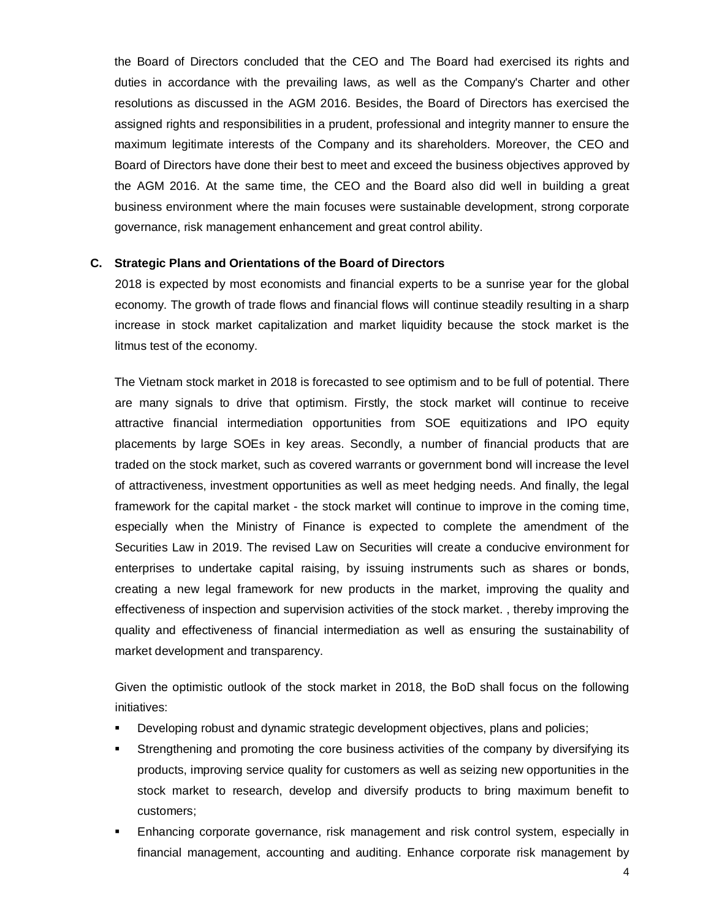the Board of Directors concluded that the CEO and The Board had exercised its rights and duties in accordance with the prevailing laws, as well as the Company's Charter and other resolutions as discussed in the AGM 2016. Besides, the Board of Directors has exercised the assigned rights and responsibilities in a prudent, professional and integrity manner to ensure the maximum legitimate interests of the Company and its shareholders. Moreover, the CEO and Board of Directors have done their best to meet and exceed the business objectives approved by the AGM 2016. At the same time, the CEO and the Board also did well in building a great business environment where the main focuses were sustainable development, strong corporate governance, risk management enhancement and great control ability.

#### **C. Strategic Plans and Orientations of the Board of Directors**

2018 is expected by most economists and financial experts to be a sunrise year for the global economy. The growth of trade flows and financial flows will continue steadily resulting in a sharp increase in stock market capitalization and market liquidity because the stock market is the litmus test of the economy.

The Vietnam stock market in 2018 is forecasted to see optimism and to be full of potential. There are many signals to drive that optimism. Firstly, the stock market will continue to receive attractive financial intermediation opportunities from SOE equitizations and IPO equity placements by large SOEs in key areas. Secondly, a number of financial products that are traded on the stock market, such as covered warrants or government bond will increase the level of attractiveness, investment opportunities as well as meet hedging needs. And finally, the legal framework for the capital market - the stock market will continue to improve in the coming time, especially when the Ministry of Finance is expected to complete the amendment of the Securities Law in 2019. The revised Law on Securities will create a conducive environment for enterprises to undertake capital raising, by issuing instruments such as shares or bonds, creating a new legal framework for new products in the market, improving the quality and effectiveness of inspection and supervision activities of the stock market. , thereby improving the quality and effectiveness of financial intermediation as well as ensuring the sustainability of market development and transparency.

Given the optimistic outlook of the stock market in 2018, the BoD shall focus on the following initiatives:

- Developing robust and dynamic strategic development objectives, plans and policies;
- Strengthening and promoting the core business activities of the company by diversifying its products, improving service quality for customers as well as seizing new opportunities in the stock market to research, develop and diversify products to bring maximum benefit to customers;
- Enhancing corporate governance, risk management and risk control system, especially in financial management, accounting and auditing. Enhance corporate risk management by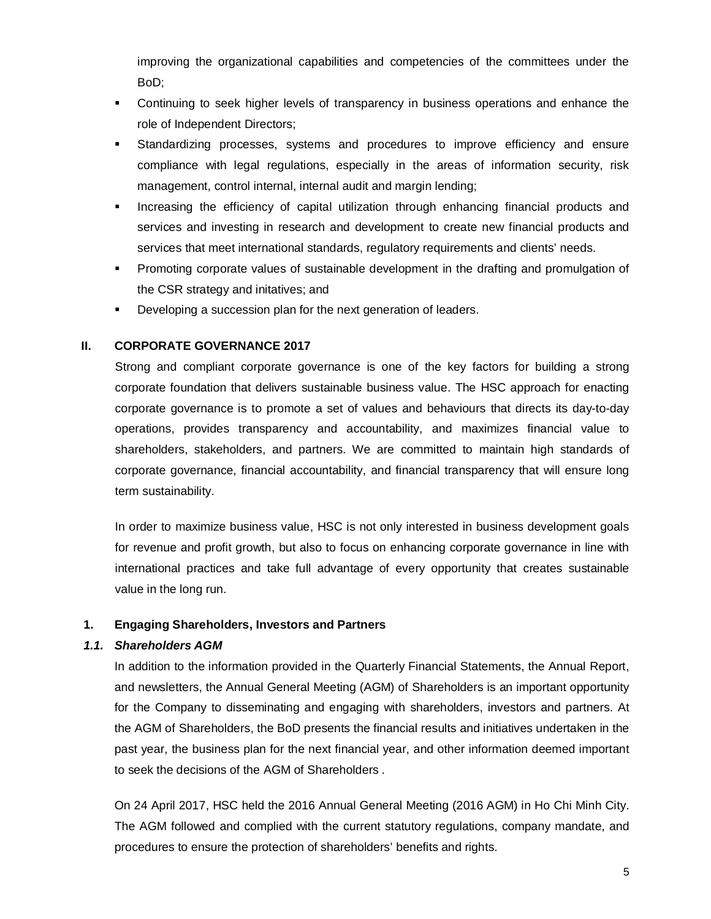improving the organizational capabilities and competencies of the committees under the BoD;

- Continuing to seek higher levels of transparency in business operations and enhance the role of Independent Directors;
- Standardizing processes, systems and procedures to improve efficiency and ensure compliance with legal regulations, especially in the areas of information security, risk management, control internal, internal audit and margin lending;
- Increasing the efficiency of capital utilization through enhancing financial products and services and investing in research and development to create new financial products and services that meet international standards, regulatory requirements and clients' needs.
- Promoting corporate values of sustainable development in the drafting and promulgation of the CSR strategy and initatives; and
- Developing a succession plan for the next generation of leaders.

# **II. CORPORATE GOVERNANCE 2017**

Strong and compliant corporate governance is one of the key factors for building a strong corporate foundation that delivers sustainable business value. The HSC approach for enacting corporate governance is to promote a set of values and behaviours that directs its day-to-day operations, provides transparency and accountability, and maximizes financial value to shareholders, stakeholders, and partners. We are committed to maintain high standards of corporate governance, financial accountability, and financial transparency that will ensure long term sustainability.

In order to maximize business value, HSC is not only interested in business development goals for revenue and profit growth, but also to focus on enhancing corporate governance in line with international practices and take full advantage of every opportunity that creates sustainable value in the long run.

#### **1. Engaging Shareholders, Investors and Partners**

#### *1.1. Shareholders AGM*

In addition to the information provided in the Quarterly Financial Statements, the Annual Report, and newsletters, the Annual General Meeting (AGM) of Shareholders is an important opportunity for the Company to disseminating and engaging with shareholders, investors and partners. At the AGM of Shareholders, the BoD presents the financial results and initiatives undertaken in the past year, the business plan for the next financial year, and other information deemed important to seek the decisions of the AGM of Shareholders .

On 24 April 2017, HSC held the 2016 Annual General Meeting (2016 AGM) in Ho Chi Minh City. The AGM followed and complied with the current statutory regulations, company mandate, and procedures to ensure the protection of shareholders' benefits and rights.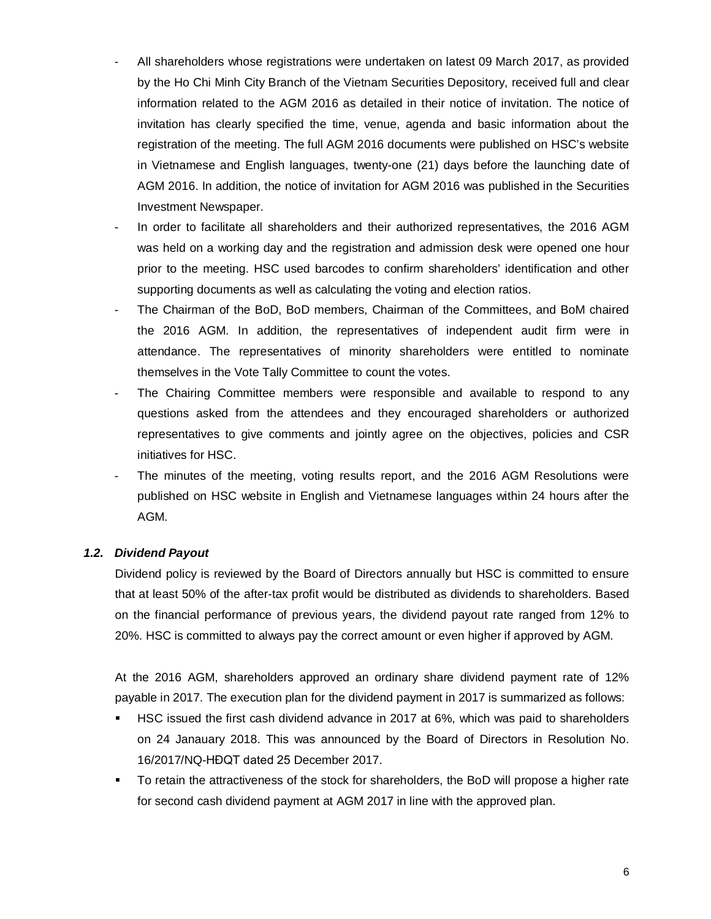- All shareholders whose registrations were undertaken on latest 09 March 2017, as provided by the Ho Chi Minh City Branch of the Vietnam Securities Depository, received full and clear information related to the AGM 2016 as detailed in their notice of invitation. The notice of invitation has clearly specified the time, venue, agenda and basic information about the registration of the meeting. The full AGM 2016 documents were published on HSC's website in Vietnamese and English languages, twenty-one (21) days before the launching date of AGM 2016. In addition, the notice of invitation for AGM 2016 was published in the Securities Investment Newspaper.
- In order to facilitate all shareholders and their authorized representatives, the 2016 AGM was held on a working day and the registration and admission desk were opened one hour prior to the meeting. HSC used barcodes to confirm shareholders' identification and other supporting documents as well as calculating the voting and election ratios.
- The Chairman of the BoD, BoD members, Chairman of the Committees, and BoM chaired the 2016 AGM. In addition, the representatives of independent audit firm were in attendance. The representatives of minority shareholders were entitled to nominate themselves in the Vote Tally Committee to count the votes.
- The Chairing Committee members were responsible and available to respond to any questions asked from the attendees and they encouraged shareholders or authorized representatives to give comments and jointly agree on the objectives, policies and CSR initiatives for HSC.
- The minutes of the meeting, voting results report, and the 2016 AGM Resolutions were published on HSC website in English and Vietnamese languages within 24 hours after the AGM.

# *1.2. Dividend Payout*

Dividend policy is reviewed by the Board of Directors annually but HSC is committed to ensure that at least 50% of the after-tax profit would be distributed as dividends to shareholders. Based on the financial performance of previous years, the dividend payout rate ranged from 12% to 20%. HSC is committed to always pay the correct amount or even higher if approved by AGM.

At the 2016 AGM, shareholders approved an ordinary share dividend payment rate of 12% payable in 2017. The execution plan for the dividend payment in 2017 is summarized as follows:

- HSC issued the first cash dividend advance in 2017 at 6%, which was paid to shareholders on 24 Janauary 2018. This was announced by the Board of Directors in Resolution No. 16/2017/NQ-HĐQT dated 25 December 2017.
- To retain the attractiveness of the stock for shareholders, the BoD will propose a higher rate for second cash dividend payment at AGM 2017 in line with the approved plan.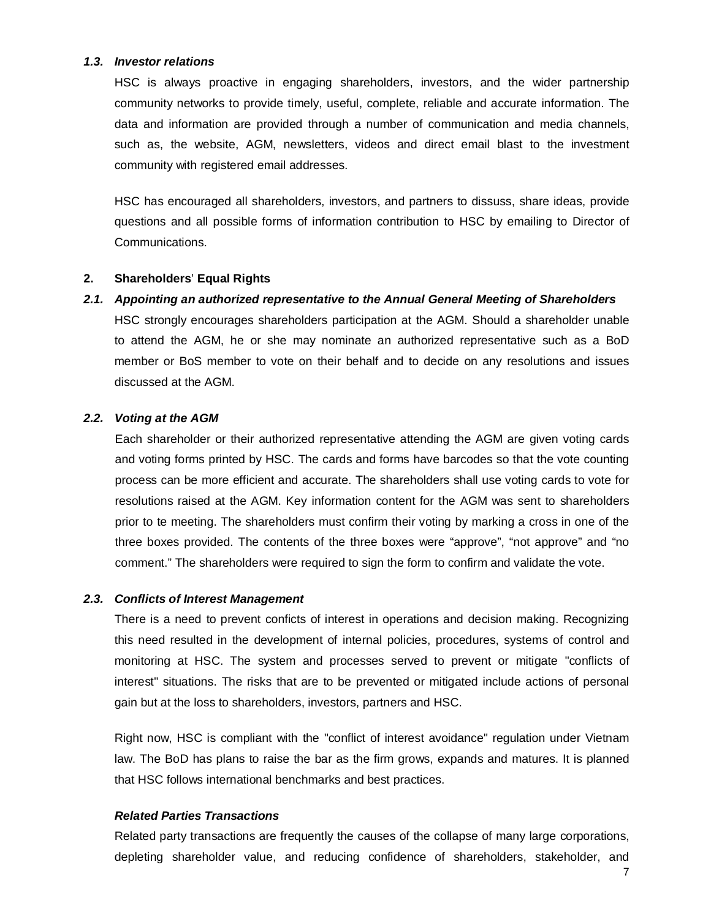#### *1.3. Investor relations*

HSC is always proactive in engaging shareholders, investors, and the wider partnership community networks to provide timely, useful, complete, reliable and accurate information. The data and information are provided through a number of communication and media channels, such as, the website, AGM, newsletters, videos and direct email blast to the investment community with registered email addresses.

HSC has encouraged all shareholders, investors, and partners to dissuss, share ideas, provide questions and all possible forms of information contribution to HSC by emailing to Director of Communications.

#### **2. Shareholders**' **Equal Rights**

#### *2.1. Appointing an authorized representative to the Annual General Meeting of Shareholders*

HSC strongly encourages shareholders participation at the AGM. Should a shareholder unable to attend the AGM, he or she may nominate an authorized representative such as a BoD member or BoS member to vote on their behalf and to decide on any resolutions and issues discussed at the AGM.

#### *2.2. Voting at the AGM*

Each shareholder or their authorized representative attending the AGM are given voting cards and voting forms printed by HSC. The cards and forms have barcodes so that the vote counting process can be more efficient and accurate. The shareholders shall use voting cards to vote for resolutions raised at the AGM. Key information content for the AGM was sent to shareholders prior to te meeting. The shareholders must confirm their voting by marking a cross in one of the three boxes provided. The contents of the three boxes were "approve", "not approve" and "no comment." The shareholders were required to sign the form to confirm and validate the vote.

#### *2.3. Conflicts of Interest Management*

There is a need to prevent conficts of interest in operations and decision making. Recognizing this need resulted in the development of internal policies, procedures, systems of control and monitoring at HSC. The system and processes served to prevent or mitigate "conflicts of interest" situations. The risks that are to be prevented or mitigated include actions of personal gain but at the loss to shareholders, investors, partners and HSC.

Right now, HSC is compliant with the "conflict of interest avoidance" regulation under Vietnam law. The BoD has plans to raise the bar as the firm grows, expands and matures. It is planned that HSC follows international benchmarks and best practices.

#### *Related Parties Transactions*

Related party transactions are frequently the causes of the collapse of many large corporations, depleting shareholder value, and reducing confidence of shareholders, stakeholder, and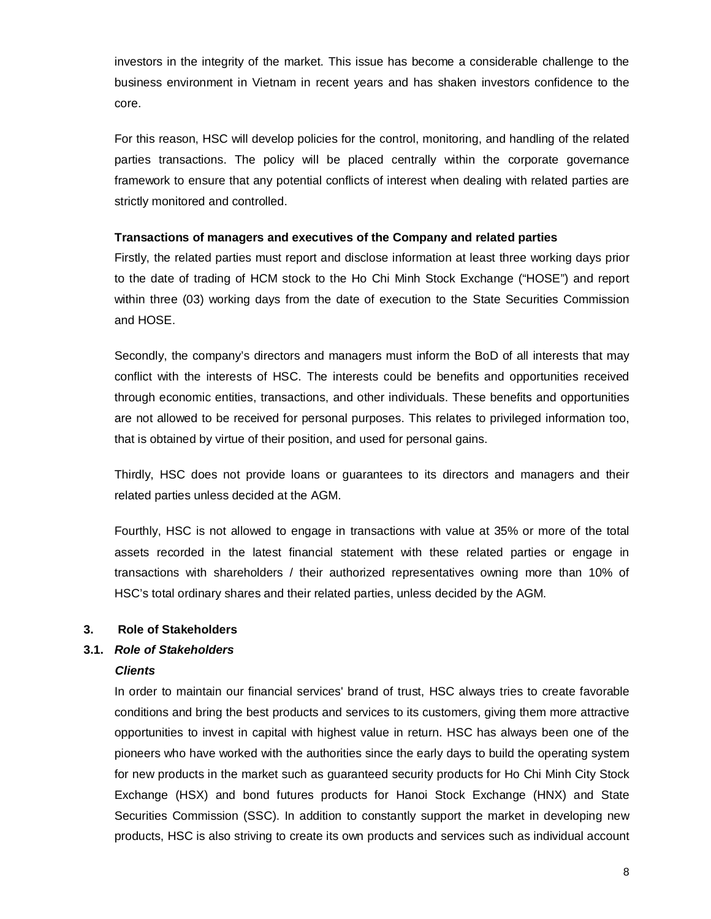investors in the integrity of the market. This issue has become a considerable challenge to the business environment in Vietnam in recent years and has shaken investors confidence to the core.

For this reason, HSC will develop policies for the control, monitoring, and handling of the related parties transactions. The policy will be placed centrally within the corporate governance framework to ensure that any potential conflicts of interest when dealing with related parties are strictly monitored and controlled.

#### **Transactions of managers and executives of the Company and related parties**

Firstly, the related parties must report and disclose information at least three working days prior to the date of trading of HCM stock to the Ho Chi Minh Stock Exchange ("HOSE") and report within three (03) working days from the date of execution to the State Securities Commission and HOSE.

Secondly, the company's directors and managers must inform the BoD of all interests that may conflict with the interests of HSC. The interests could be benefits and opportunities received through economic entities, transactions, and other individuals. These benefits and opportunities are not allowed to be received for personal purposes. This relates to privileged information too, that is obtained by virtue of their position, and used for personal gains.

Thirdly, HSC does not provide loans or guarantees to its directors and managers and their related parties unless decided at the AGM.

Fourthly, HSC is not allowed to engage in transactions with value at 35% or more of the total assets recorded in the latest financial statement with these related parties or engage in transactions with shareholders / their authorized representatives owning more than 10% of HSC's total ordinary shares and their related parties, unless decided by the AGM.

#### **3. Role of Stakeholders**

#### **3.1.** *Role of Stakeholders*

#### *Clients*

In order to maintain our financial services' brand of trust, HSC always tries to create favorable conditions and bring the best products and services to its customers, giving them more attractive opportunities to invest in capital with highest value in return. HSC has always been one of the pioneers who have worked with the authorities since the early days to build the operating system for new products in the market such as guaranteed security products for Ho Chi Minh City Stock Exchange (HSX) and bond futures products for Hanoi Stock Exchange (HNX) and State Securities Commission (SSC). In addition to constantly support the market in developing new products, HSC is also striving to create its own products and services such as individual account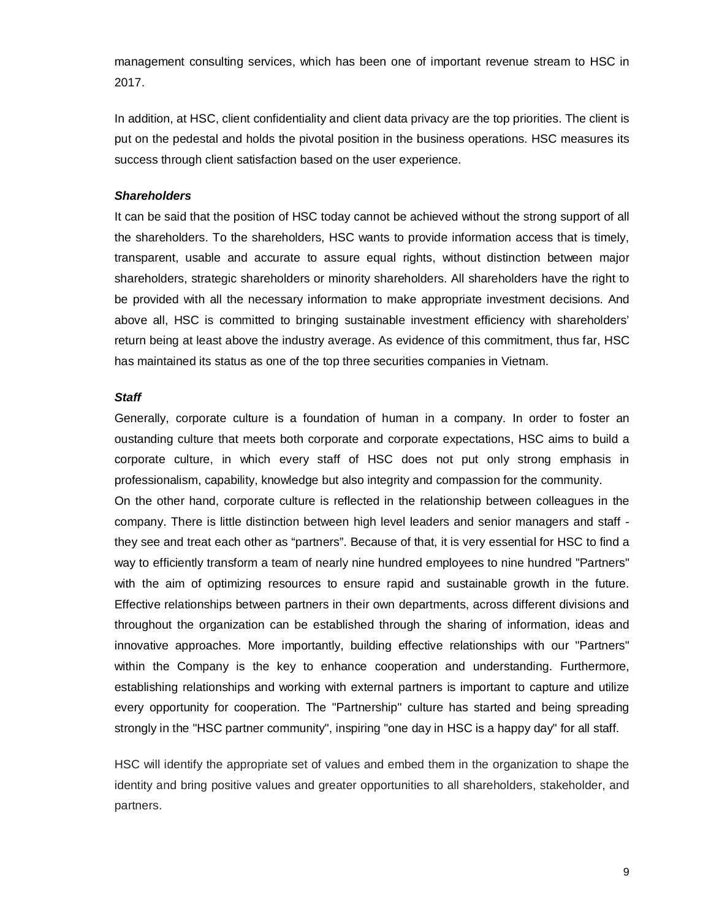management consulting services, which has been one of important revenue stream to HSC in 2017.

In addition, at HSC, client confidentiality and client data privacy are the top priorities. The client is put on the pedestal and holds the pivotal position in the business operations. HSC measures its success through client satisfaction based on the user experience.

#### *Shareholders*

It can be said that the position of HSC today cannot be achieved without the strong support of all the shareholders. To the shareholders, HSC wants to provide information access that is timely, transparent, usable and accurate to assure equal rights, without distinction between major shareholders, strategic shareholders or minority shareholders. All shareholders have the right to be provided with all the necessary information to make appropriate investment decisions. And above all, HSC is committed to bringing sustainable investment efficiency with shareholders' return being at least above the industry average. As evidence of this commitment, thus far, HSC has maintained its status as one of the top three securities companies in Vietnam.

#### *Staff*

Generally, corporate culture is a foundation of human in a company. In order to foster an oustanding culture that meets both corporate and corporate expectations, HSC aims to build a corporate culture, in which every staff of HSC does not put only strong emphasis in professionalism, capability, knowledge but also integrity and compassion for the community. On the other hand, corporate culture is reflected in the relationship between colleagues in the company. There is little distinction between high level leaders and senior managers and staff they see and treat each other as "partners". Because of that, it is very essential for HSC to find a way to efficiently transform a team of nearly nine hundred employees to nine hundred "Partners" with the aim of optimizing resources to ensure rapid and sustainable growth in the future. Effective relationships between partners in their own departments, across different divisions and throughout the organization can be established through the sharing of information, ideas and innovative approaches. More importantly, building effective relationships with our "Partners" within the Company is the key to enhance cooperation and understanding. Furthermore, establishing relationships and working with external partners is important to capture and utilize every opportunity for cooperation. The "Partnership" culture has started and being spreading strongly in the "HSC partner community", inspiring "one day in HSC is a happy day" for all staff.

HSC will identify the appropriate set of values and embed them in the organization to shape the identity and bring positive values and greater opportunities to all shareholders, stakeholder, and partners.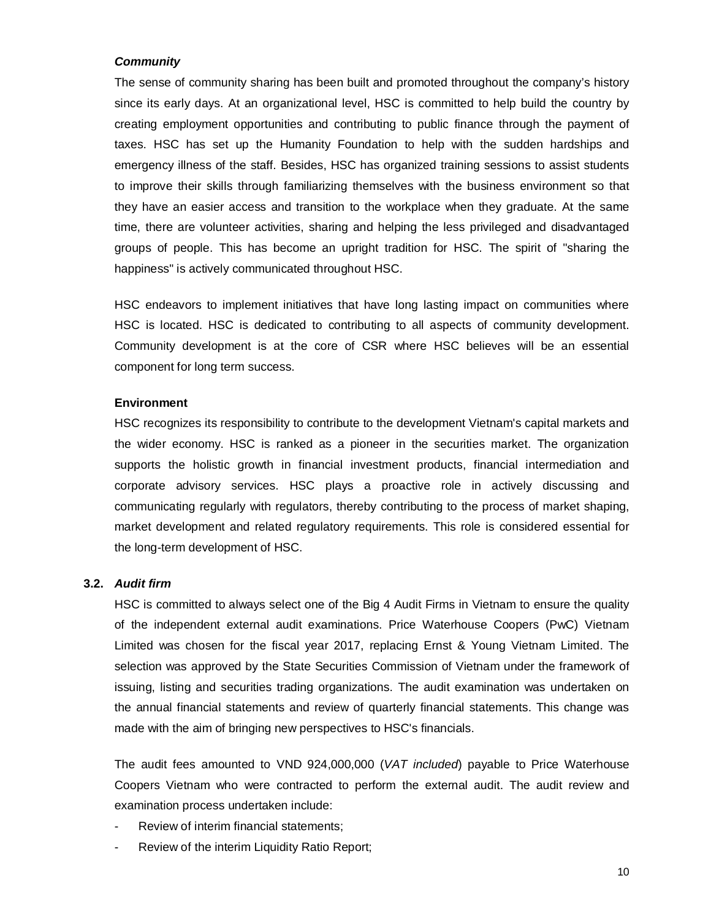#### *Community*

The sense of community sharing has been built and promoted throughout the company's history since its early days. At an organizational level, HSC is committed to help build the country by creating employment opportunities and contributing to public finance through the payment of taxes. HSC has set up the Humanity Foundation to help with the sudden hardships and emergency illness of the staff. Besides, HSC has organized training sessions to assist students to improve their skills through familiarizing themselves with the business environment so that they have an easier access and transition to the workplace when they graduate. At the same time, there are volunteer activities, sharing and helping the less privileged and disadvantaged groups of people. This has become an upright tradition for HSC. The spirit of "sharing the happiness" is actively communicated throughout HSC.

HSC endeavors to implement initiatives that have long lasting impact on communities where HSC is located. HSC is dedicated to contributing to all aspects of community development. Community development is at the core of CSR where HSC believes will be an essential component for long term success.

#### **Environment**

HSC recognizes its responsibility to contribute to the development Vietnam's capital markets and the wider economy. HSC is ranked as a pioneer in the securities market. The organization supports the holistic growth in financial investment products, financial intermediation and corporate advisory services. HSC plays a proactive role in actively discussing and communicating regularly with regulators, thereby contributing to the process of market shaping, market development and related regulatory requirements. This role is considered essential for the long-term development of HSC.

#### **3.2.** *Audit firm*

HSC is committed to always select one of the Big 4 Audit Firms in Vietnam to ensure the quality of the independent external audit examinations. Price Waterhouse Coopers (PwC) Vietnam Limited was chosen for the fiscal year 2017, replacing Ernst & Young Vietnam Limited. The selection was approved by the State Securities Commission of Vietnam under the framework of issuing, listing and securities trading organizations. The audit examination was undertaken on the annual financial statements and review of quarterly financial statements. This change was made with the aim of bringing new perspectives to HSC's financials.

The audit fees amounted to VND 924,000,000 (*VAT included*) payable to Price Waterhouse Coopers Vietnam who were contracted to perform the external audit. The audit review and examination process undertaken include:

- Review of interim financial statements;
- Review of the interim Liquidity Ratio Report;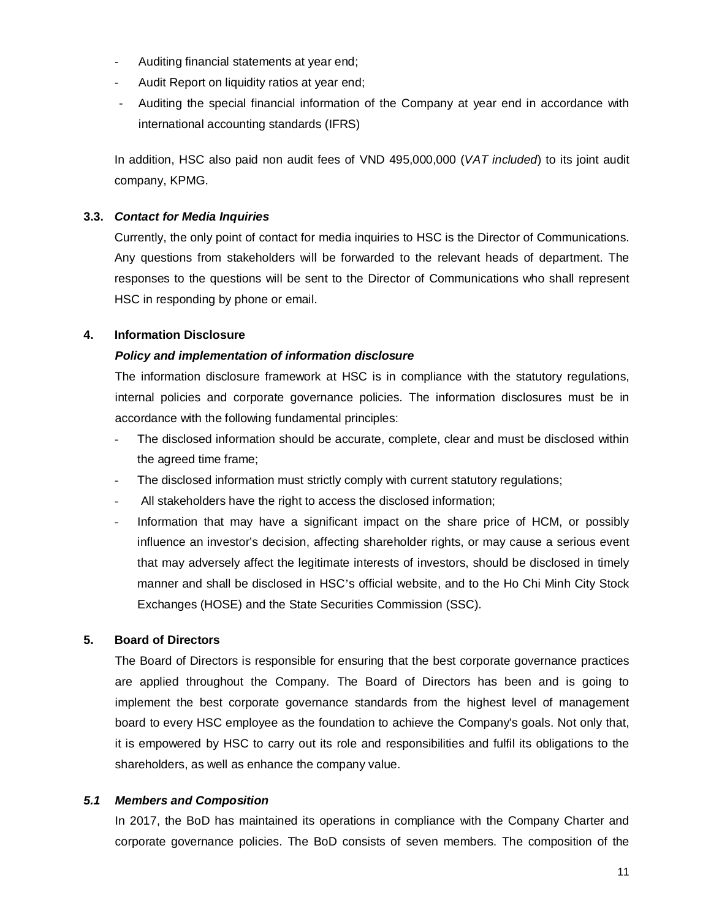- Auditing financial statements at year end;
- Audit Report on liquidity ratios at year end;
- Auditing the special financial information of the Company at year end in accordance with international accounting standards (IFRS)

In addition, HSC also paid non audit fees of VND 495,000,000 (*VAT included*) to its joint audit company, KPMG.

# **3.3.** *Contact for Media Inquiries*

Currently, the only point of contact for media inquiries to HSC is the Director of Communications. Any questions from stakeholders will be forwarded to the relevant heads of department. The responses to the questions will be sent to the Director of Communications who shall represent HSC in responding by phone or email.

# **4. Information Disclosure**

# *Policy and implementation of information disclosure*

The information disclosure framework at HSC is in compliance with the statutory regulations, internal policies and corporate governance policies. The information disclosures must be in accordance with the following fundamental principles:

- The disclosed information should be accurate, complete, clear and must be disclosed within the agreed time frame;
- The disclosed information must strictly comply with current statutory regulations;
- All stakeholders have the right to access the disclosed information;
- Information that may have a significant impact on the share price of HCM, or possibly influence an investor's decision, affecting shareholder rights, or may cause a serious event that may adversely affect the legitimate interests of investors, should be disclosed in timely manner and shall be disclosed in HSC's official website, and to the Ho Chi Minh City Stock Exchanges (HOSE) and the State Securities Commission (SSC).

#### **5. Board of Directors**

The Board of Directors is responsible for ensuring that the best corporate governance practices are applied throughout the Company. The Board of Directors has been and is going to implement the best corporate governance standards from the highest level of management board to every HSC employee as the foundation to achieve the Company's goals. Not only that, it is empowered by HSC to carry out its role and responsibilities and fulfil its obligations to the shareholders, as well as enhance the company value.

#### *5.1 Members and Composition*

In 2017, the BoD has maintained its operations in compliance with the Company Charter and corporate governance policies. The BoD consists of seven members. The composition of the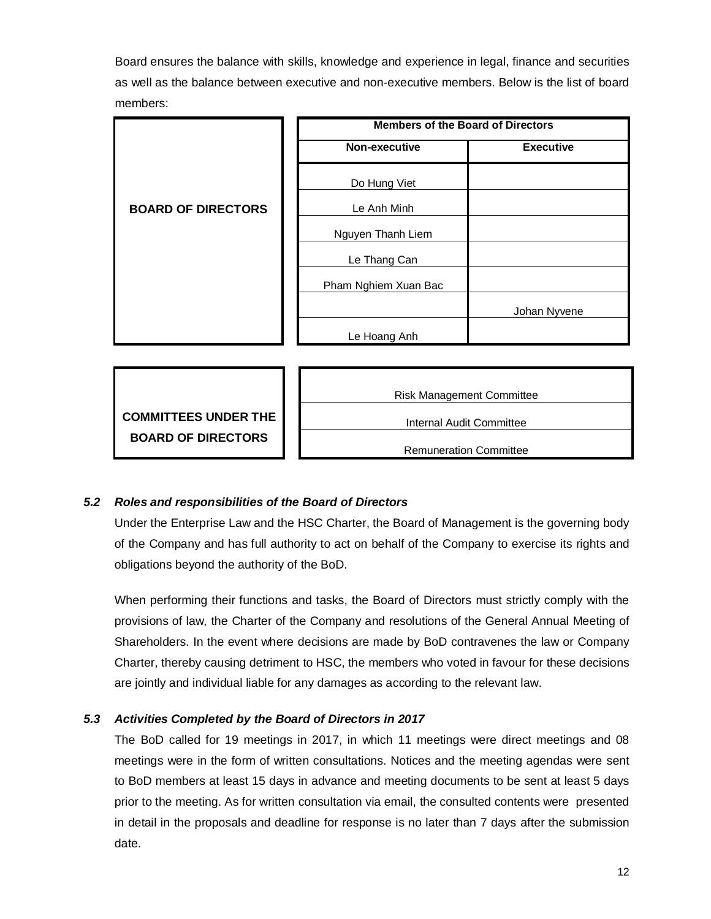Board ensures the balance with skills, knowledge and experience in legal, finance and securities as well as the balance between executive and non-executive members. Below is the list of board members:

|                           | <b>Members of the Board of Directors</b> |                  |
|---------------------------|------------------------------------------|------------------|
|                           | Non-executive                            | <b>Executive</b> |
|                           | Do Hung Viet                             |                  |
| <b>BOARD OF DIRECTORS</b> | Le Anh Minh                              |                  |
|                           | Nguyen Thanh Liem                        |                  |
|                           | Le Thang Can                             |                  |
|                           | Pham Nghiem Xuan Bac                     |                  |
|                           |                                          | Johan Nyvene     |
|                           | Le Hoang Anh                             |                  |

|                             | <b>Risk Management Committee</b> |
|-----------------------------|----------------------------------|
| <b>COMMITTEES UNDER THE</b> | Internal Audit Committee         |
| <b>BOARD OF DIRECTORS</b>   | <b>Remuneration Committee</b>    |

# *5.2 Roles and responsibilities of the Board of Directors*

Under the Enterprise Law and the HSC Charter, the Board of Management is the governing body of the Company and has full authority to act on behalf of the Company to exercise its rights and obligations beyond the authority of the BoD.

When performing their functions and tasks, the Board of Directors must strictly comply with the provisions of law, the Charter of the Company and resolutions of the General Annual Meeting of Shareholders. In the event where decisions are made by BoD contravenes the law or Company Charter, thereby causing detriment to HSC, the members who voted in favour for these decisions are jointly and individual liable for any damages as according to the relevant law.

# *5.3 Activities Completed by the Board of Directors in 2017*

The BoD called for 19 meetings in 2017, in which 11 meetings were direct meetings and 08 meetings were in the form of written consultations. Notices and the meeting agendas were sent to BoD members at least 15 days in advance and meeting documents to be sent at least 5 days prior to the meeting. As for written consultation via email, the consulted contents were presented in detail in the proposals and deadline for response is no later than 7 days after the submission date.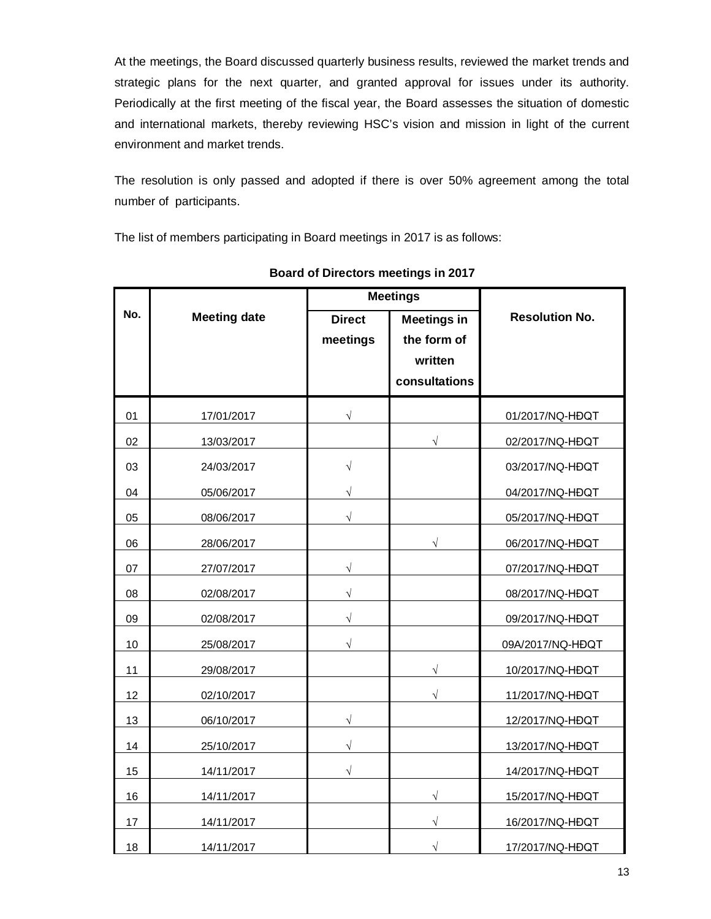At the meetings, the Board discussed quarterly business results, reviewed the market trends and strategic plans for the next quarter, and granted approval for issues under its authority. Periodically at the first meeting of the fiscal year, the Board assesses the situation of domestic and international markets, thereby reviewing HSC's vision and mission in light of the current environment and market trends.

The resolution is only passed and adopted if there is over 50% agreement among the total number of participants.

The list of members participating in Board meetings in 2017 is as follows:

|     |                     | <b>Meetings</b> |                    |                       |
|-----|---------------------|-----------------|--------------------|-----------------------|
| No. | <b>Meeting date</b> | <b>Direct</b>   | <b>Meetings in</b> | <b>Resolution No.</b> |
|     |                     | meetings        | the form of        |                       |
|     |                     |                 | written            |                       |
|     |                     |                 | consultations      |                       |
| 01  | 17/01/2017          | $\sqrt{}$       |                    | 01/2017/NQ-HĐQT       |
| 02  | 13/03/2017          |                 | $\sqrt{}$          | 02/2017/NQ-HĐQT       |
| 03  | 24/03/2017          |                 |                    | 03/2017/NQ-HĐQT       |
| 04  | 05/06/2017          | V               |                    | 04/2017/NQ-HĐQT       |
| 05  | 08/06/2017          | $\sqrt{}$       |                    | 05/2017/NQ-HĐQT       |
| 06  | 28/06/2017          |                 | V                  | 06/2017/NQ-HĐQT       |
| 07  | 27/07/2017          | $\sqrt{}$       |                    | 07/2017/NQ-HĐQT       |
| 08  | 02/08/2017          | $\sqrt{}$       |                    | 08/2017/NQ-HĐQT       |
| 09  | 02/08/2017          | $\sqrt{}$       |                    | 09/2017/NQ-HĐQT       |
| 10  | 25/08/2017          | $\sqrt{}$       |                    | 09A/2017/NQ-HĐQT      |
| 11  | 29/08/2017          |                 | $\sqrt{}$          | 10/2017/NQ-HĐQT       |
| 12  | 02/10/2017          |                 | $\sqrt{}$          | 11/2017/NQ-HĐQT       |
| 13  | 06/10/2017          | $\sqrt{}$       |                    | 12/2017/NQ-HĐQT       |
| 14  | 25/10/2017          | $\sqrt{}$       |                    | 13/2017/NQ-HĐQT       |
| 15  | 14/11/2017          | $\sqrt{}$       |                    | 14/2017/NQ-HĐQT       |
| 16  | 14/11/2017          |                 | $\sqrt{}$          | 15/2017/NQ-HĐQT       |
| 17  | 14/11/2017          |                 |                    | 16/2017/NQ-HĐQT       |
| 18  | 14/11/2017          |                 |                    | 17/2017/NQ-HĐQT       |

**Board of Directors meetings in 2017**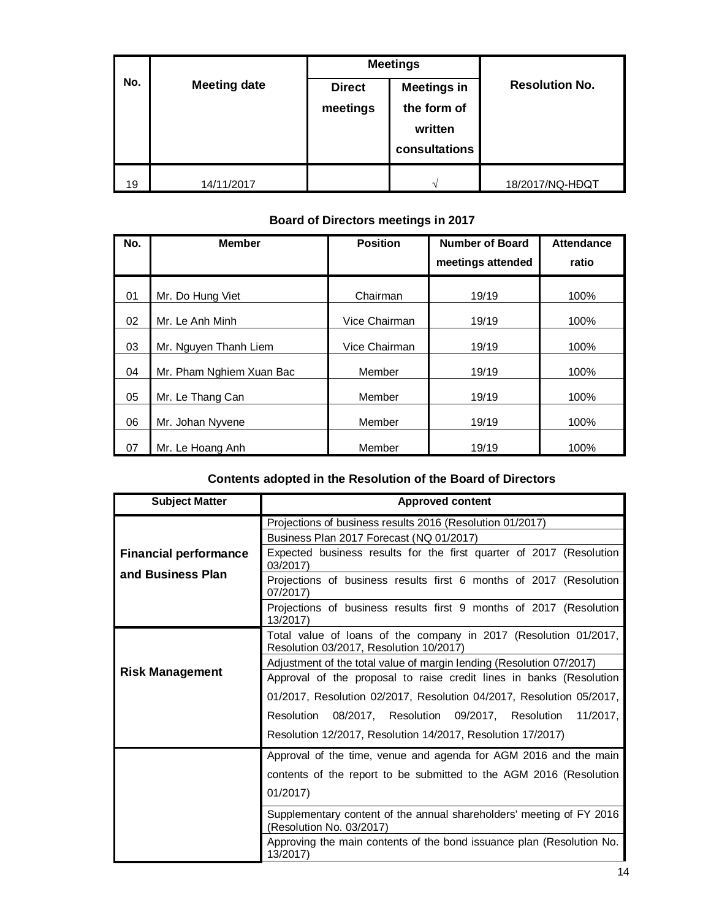|     |                     |               | <b>Meetings</b>    |                       |  |
|-----|---------------------|---------------|--------------------|-----------------------|--|
| No. | <b>Meeting date</b> | <b>Direct</b> | <b>Meetings in</b> | <b>Resolution No.</b> |  |
|     |                     | meetings      | the form of        |                       |  |
|     |                     |               | written            |                       |  |
|     |                     |               | consultations      |                       |  |
| 19  | 14/11/2017          |               |                    | 18/2017/NQ-HĐQT       |  |

# **Board of Directors meetings in 2017**

| No. | <b>Member</b>                    | <b>Position</b> | <b>Number of Board</b> | <b>Attendance</b> |
|-----|----------------------------------|-----------------|------------------------|-------------------|
|     |                                  |                 | meetings attended      | ratio             |
| 01  | Mr. Do Hung Viet                 | Chairman        | 19/19                  | 100%              |
| 02  | Mr. Le Anh Minh<br>Vice Chairman |                 | 19/19                  | 100%              |
| 03  | Mr. Nguyen Thanh Liem            | Vice Chairman   | 19/19                  | 100%              |
| 04  | Mr. Pham Nghiem Xuan Bac         | Member          | 19/19                  | 100%              |
| 05  | Mr. Le Thang Can                 | Member          | 19/19                  | 100%              |
| 06  | Mr. Johan Nyvene                 | Member          | 19/19                  | 100%              |
| 07  | Mr. Le Hoang Anh                 | Member          | 19/19                  | 100%              |

# **Contents adopted in the Resolution of the Board of Directors**

| <b>Subject Matter</b>                                                                                       | <b>Approved content</b>                                                                                                     |  |  |  |  |  |
|-------------------------------------------------------------------------------------------------------------|-----------------------------------------------------------------------------------------------------------------------------|--|--|--|--|--|
|                                                                                                             | Projections of business results 2016 (Resolution 01/2017)                                                                   |  |  |  |  |  |
| <b>Financial performance</b>                                                                                | Business Plan 2017 Forecast (NQ 01/2017)<br>Expected business results for the first quarter of 2017 (Resolution<br>03/2017) |  |  |  |  |  |
| and Business Plan                                                                                           | Projections of business results first 6 months of 2017 (Resolution<br>07/2017)                                              |  |  |  |  |  |
|                                                                                                             | Projections of business results first 9 months of 2017 (Resolution<br>13/2017)                                              |  |  |  |  |  |
| Total value of loans of the company in 2017 (Resolution 01/2017,<br>Resolution 03/2017, Resolution 10/2017) |                                                                                                                             |  |  |  |  |  |
|                                                                                                             | Adjustment of the total value of margin lending (Resolution 07/2017)                                                        |  |  |  |  |  |
| <b>Risk Management</b>                                                                                      | Approval of the proposal to raise credit lines in banks (Resolution                                                         |  |  |  |  |  |
|                                                                                                             | 01/2017, Resolution 02/2017, Resolution 04/2017, Resolution 05/2017,                                                        |  |  |  |  |  |
| Resolution 08/2017, Resolution 09/2017, Resolution                                                          |                                                                                                                             |  |  |  |  |  |
|                                                                                                             | Resolution 12/2017, Resolution 14/2017, Resolution 17/2017)                                                                 |  |  |  |  |  |
|                                                                                                             | Approval of the time, venue and agenda for AGM 2016 and the main                                                            |  |  |  |  |  |
|                                                                                                             | contents of the report to be submitted to the AGM 2016 (Resolution                                                          |  |  |  |  |  |
|                                                                                                             | 01/2017                                                                                                                     |  |  |  |  |  |
|                                                                                                             | Supplementary content of the annual shareholders' meeting of FY 2016<br>(Resolution No. 03/2017)                            |  |  |  |  |  |
|                                                                                                             | Approving the main contents of the bond issuance plan (Resolution No.<br>13/2017)                                           |  |  |  |  |  |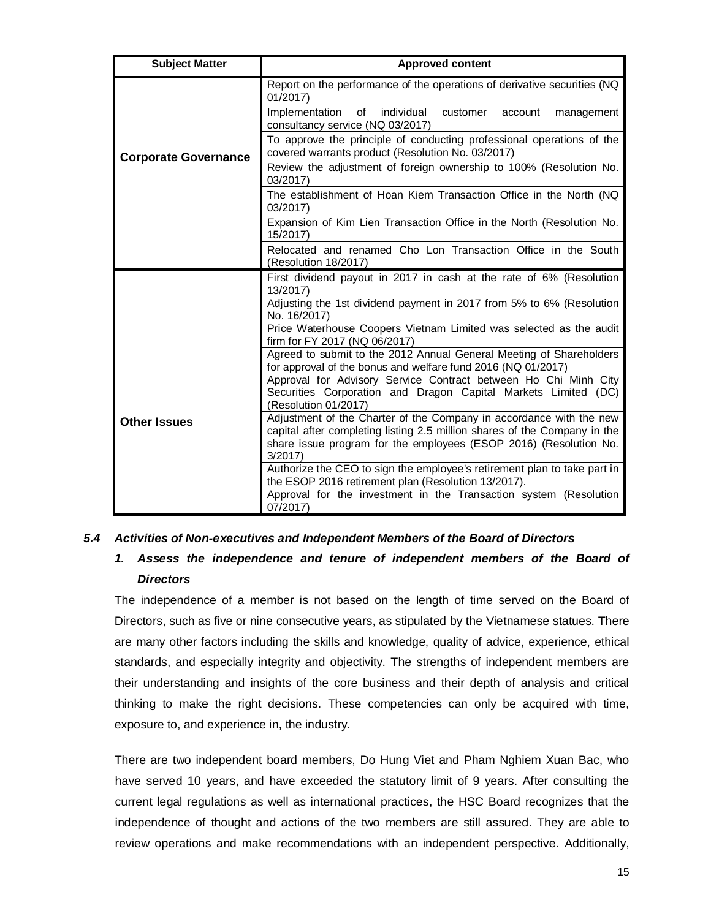| <b>Subject Matter</b>                                                                                                                                                   | <b>Approved content</b>                                                                                                             |  |  |  |  |  |
|-------------------------------------------------------------------------------------------------------------------------------------------------------------------------|-------------------------------------------------------------------------------------------------------------------------------------|--|--|--|--|--|
|                                                                                                                                                                         | Report on the performance of the operations of derivative securities (NQ<br>01/2017                                                 |  |  |  |  |  |
|                                                                                                                                                                         | Implementation<br>individual<br>of<br>customer<br>account<br>management<br>consultancy service (NQ 03/2017)                         |  |  |  |  |  |
| <b>Corporate Governance</b>                                                                                                                                             | To approve the principle of conducting professional operations of the<br>covered warrants product (Resolution No. 03/2017)          |  |  |  |  |  |
|                                                                                                                                                                         | Review the adjustment of foreign ownership to 100% (Resolution No.<br>03/2017)                                                      |  |  |  |  |  |
|                                                                                                                                                                         | The establishment of Hoan Kiem Transaction Office in the North (NQ<br>03/2017)                                                      |  |  |  |  |  |
|                                                                                                                                                                         | Expansion of Kim Lien Transaction Office in the North (Resolution No.<br>15/2017)                                                   |  |  |  |  |  |
|                                                                                                                                                                         | Relocated and renamed Cho Lon Transaction Office in the South<br>(Resolution 18/2017)                                               |  |  |  |  |  |
|                                                                                                                                                                         | First dividend payout in 2017 in cash at the rate of 6% (Resolution<br>13/2017)                                                     |  |  |  |  |  |
|                                                                                                                                                                         | Adjusting the 1st dividend payment in 2017 from 5% to 6% (Resolution<br>No. 16/2017)                                                |  |  |  |  |  |
|                                                                                                                                                                         | Price Waterhouse Coopers Vietnam Limited was selected as the audit<br>firm for FY 2017 (NQ 06/2017)                                 |  |  |  |  |  |
|                                                                                                                                                                         | Agreed to submit to the 2012 Annual General Meeting of Shareholders<br>for approval of the bonus and welfare fund 2016 (NQ 01/2017) |  |  |  |  |  |
| Approval for Advisory Service Contract between Ho Chi Minh City<br>Securities Corporation and Dragon Capital Markets Limited (DC)<br>(Resolution 01/2017)               |                                                                                                                                     |  |  |  |  |  |
| Adjustment of the Charter of the Company in accordance with the new<br><b>Other Issues</b><br>capital after completing listing 2.5 million shares of the Company in the |                                                                                                                                     |  |  |  |  |  |
|                                                                                                                                                                         | share issue program for the employees (ESOP 2016) (Resolution No.<br>3/2017                                                         |  |  |  |  |  |
|                                                                                                                                                                         | Authorize the CEO to sign the employee's retirement plan to take part in<br>the ESOP 2016 retirement plan (Resolution 13/2017).     |  |  |  |  |  |
|                                                                                                                                                                         | Approval for the investment in the Transaction system (Resolution<br>07/2017)                                                       |  |  |  |  |  |

#### *5.4 Activities of Non-executives and Independent Members of the Board of Directors*

# 1. Assess the independence and tenure of independent members of the Board of *Directors*

The independence of a member is not based on the length of time served on the Board of Directors, such as five or nine consecutive years, as stipulated by the Vietnamese statues. There are many other factors including the skills and knowledge, quality of advice, experience, ethical standards, and especially integrity and objectivity. The strengths of independent members are their understanding and insights of the core business and their depth of analysis and critical thinking to make the right decisions. These competencies can only be acquired with time, exposure to, and experience in, the industry.

There are two independent board members, Do Hung Viet and Pham Nghiem Xuan Bac, who have served 10 years, and have exceeded the statutory limit of 9 years. After consulting the current legal regulations as well as international practices, the HSC Board recognizes that the independence of thought and actions of the two members are still assured. They are able to review operations and make recommendations with an independent perspective. Additionally,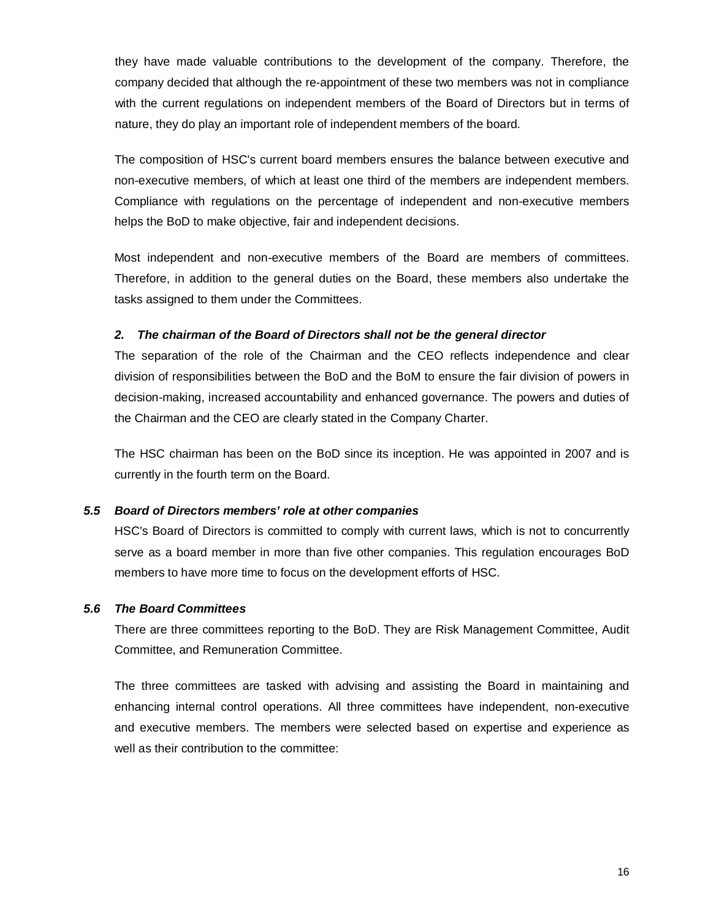they have made valuable contributions to the development of the company. Therefore, the company decided that although the re-appointment of these two members was not in compliance with the current regulations on independent members of the Board of Directors but in terms of nature, they do play an important role of independent members of the board.

The composition of HSC's current board members ensures the balance between executive and non-executive members, of which at least one third of the members are independent members. Compliance with regulations on the percentage of independent and non-executive members helps the BoD to make objective, fair and independent decisions.

Most independent and non-executive members of the Board are members of committees. Therefore, in addition to the general duties on the Board, these members also undertake the tasks assigned to them under the Committees.

#### *2. The chairman of the Board of Directors shall not be the general director*

The separation of the role of the Chairman and the CEO reflects independence and clear division of responsibilities between the BoD and the BoM to ensure the fair division of powers in decision-making, increased accountability and enhanced governance. The powers and duties of the Chairman and the CEO are clearly stated in the Company Charter.

The HSC chairman has been on the BoD since its inception. He was appointed in 2007 and is currently in the fourth term on the Board.

#### *5.5 Board of Directors members' role at other companies*

HSC's Board of Directors is committed to comply with current laws, which is not to concurrently serve as a board member in more than five other companies. This regulation encourages BoD members to have more time to focus on the development efforts of HSC.

#### *5.6 The Board Committees*

There are three committees reporting to the BoD. They are Risk Management Committee, Audit Committee, and Remuneration Committee.

The three committees are tasked with advising and assisting the Board in maintaining and enhancing internal control operations. All three committees have independent, non-executive and executive members. The members were selected based on expertise and experience as well as their contribution to the committee: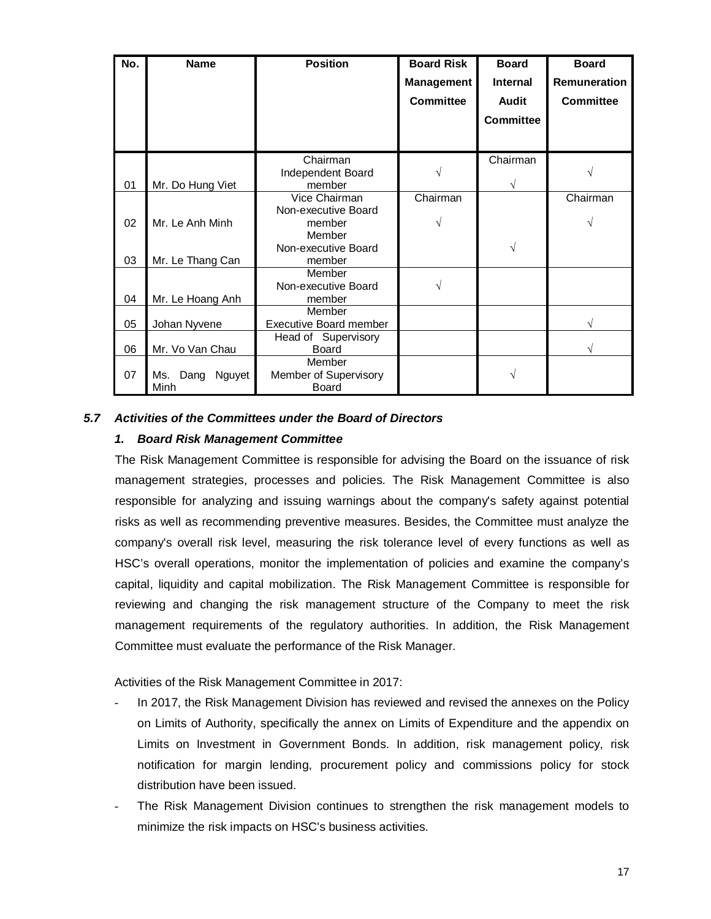| No. | <b>Name</b>        | <b>Position</b>             | <b>Board Risk</b> | <b>Board</b>     | <b>Board</b>        |
|-----|--------------------|-----------------------------|-------------------|------------------|---------------------|
|     |                    |                             | <b>Management</b> | <b>Internal</b>  | <b>Remuneration</b> |
|     |                    |                             | <b>Committee</b>  | <b>Audit</b>     | <b>Committee</b>    |
|     |                    |                             |                   | <b>Committee</b> |                     |
|     |                    |                             |                   |                  |                     |
|     |                    |                             |                   |                  |                     |
|     |                    | Chairman                    |                   | Chairman         |                     |
| 01  | Mr. Do Hung Viet   | Independent Board<br>member |                   | V                |                     |
|     |                    | Vice Chairman               | Chairman          |                  | Chairman            |
|     |                    | Non-executive Board         |                   |                  |                     |
| 02  | Mr. Le Anh Minh    | member                      |                   |                  |                     |
|     |                    | Member                      |                   |                  |                     |
|     |                    | Non-executive Board         |                   | V                |                     |
| 03  | Mr. Le Thang Can   | member                      |                   |                  |                     |
|     |                    | Member                      |                   |                  |                     |
|     |                    | Non-executive Board         | V                 |                  |                     |
| 04  | Mr. Le Hoang Anh   | member                      |                   |                  |                     |
|     |                    | Member                      |                   |                  |                     |
| 05  | Johan Nyvene       | Executive Board member      |                   |                  | N                   |
|     |                    | Head of Supervisory         |                   |                  |                     |
| 06  | Mr. Vo Van Chau    | <b>Board</b>                |                   |                  | V                   |
|     |                    | Member                      |                   |                  |                     |
| 07  | Dang Nguyet<br>Ms. | Member of Supervisory       |                   |                  |                     |
|     | Minh               | <b>Board</b>                |                   |                  |                     |

# *5.7 Activities of the Committees under the Board of Directors*

#### *1. Board Risk Management Committee*

The Risk Management Committee is responsible for advising the Board on the issuance of risk management strategies, processes and policies. The Risk Management Committee is also responsible for analyzing and issuing warnings about the company's safety against potential risks as well as recommending preventive measures. Besides, the Committee must analyze the company's overall risk level, measuring the risk tolerance level of every functions as well as HSC's overall operations, monitor the implementation of policies and examine the company's capital, liquidity and capital mobilization. The Risk Management Committee is responsible for reviewing and changing the risk management structure of the Company to meet the risk management requirements of the regulatory authorities. In addition, the Risk Management Committee must evaluate the performance of the Risk Manager.

Activities of the Risk Management Committee in 2017:

- In 2017, the Risk Management Division has reviewed and revised the annexes on the Policy on Limits of Authority, specifically the annex on Limits of Expenditure and the appendix on Limits on Investment in Government Bonds. In addition, risk management policy, risk notification for margin lending, procurement policy and commissions policy for stock distribution have been issued.
- The Risk Management Division continues to strengthen the risk management models to minimize the risk impacts on HSC's business activities.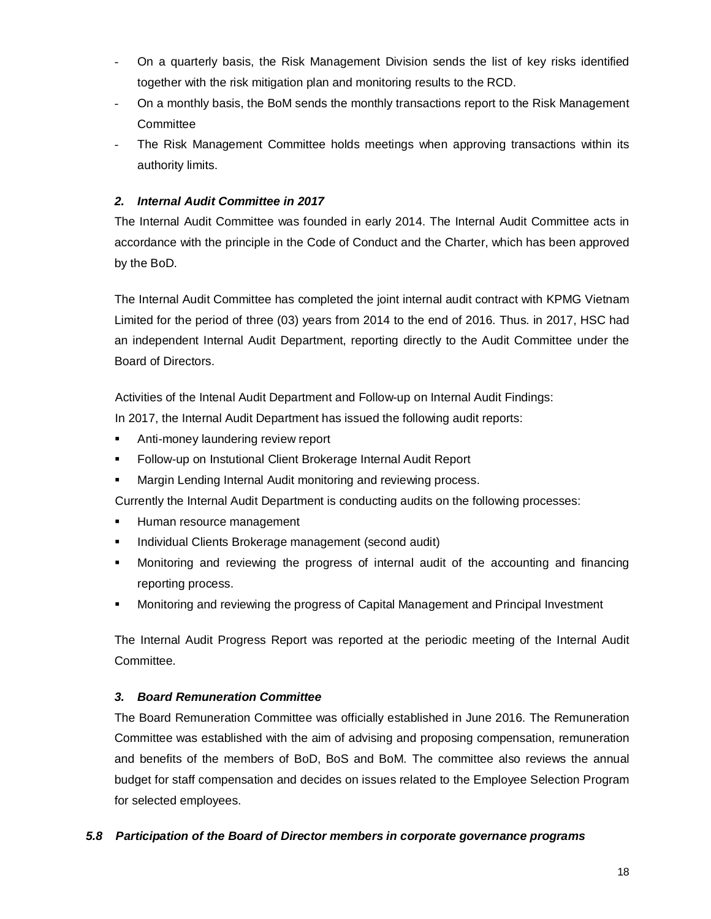- On a quarterly basis, the Risk Management Division sends the list of key risks identified together with the risk mitigation plan and monitoring results to the RCD.
- On a monthly basis, the BoM sends the monthly transactions report to the Risk Management **Committee**
- The Risk Management Committee holds meetings when approving transactions within its authority limits.

# *2. Internal Audit Committee in 2017*

The Internal Audit Committee was founded in early 2014. The Internal Audit Committee acts in accordance with the principle in the Code of Conduct and the Charter, which has been approved by the BoD.

The Internal Audit Committee has completed the joint internal audit contract with KPMG Vietnam Limited for the period of three (03) years from 2014 to the end of 2016. Thus. in 2017, HSC had an independent Internal Audit Department, reporting directly to the Audit Committee under the Board of Directors.

Activities of the Intenal Audit Department and Follow-up on Internal Audit Findings:

In 2017, the Internal Audit Department has issued the following audit reports:

- **Anti-money laundering review report**
- **Follow-up on Instutional Client Brokerage Internal Audit Report**
- Margin Lending Internal Audit monitoring and reviewing process.

Currently the Internal Audit Department is conducting audits on the following processes:

- **Human resource management**
- Individual Clients Brokerage management (second audit)
- Monitoring and reviewing the progress of internal audit of the accounting and financing reporting process.
- Monitoring and reviewing the progress of Capital Management and Principal Investment

The Internal Audit Progress Report was reported at the periodic meeting of the Internal Audit Committee.

# *3. Board Remuneration Committee*

The Board Remuneration Committee was officially established in June 2016. The Remuneration Committee was established with the aim of advising and proposing compensation, remuneration and benefits of the members of BoD, BoS and BoM. The committee also reviews the annual budget for staff compensation and decides on issues related to the Employee Selection Program for selected employees.

# *5.8 Participation of the Board of Director members in corporate governance programs*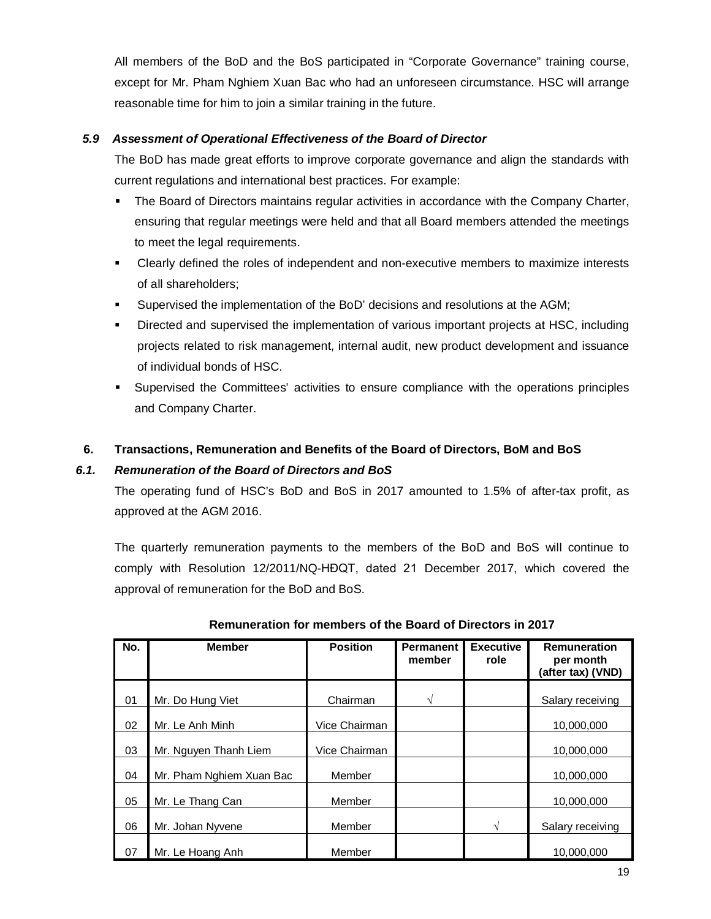All members of the BoD and the BoS participated in "Corporate Governance" training course, except for Mr. Pham Nghiem Xuan Bac who had an unforeseen circumstance. HSC will arrange reasonable time for him to join a similar training in the future.

# *5.9 Assessment of Operational Effectiveness of the Board of Director*

The BoD has made great efforts to improve corporate governance and align the standards with current regulations and international best practices. For example:

- The Board of Directors maintains regular activities in accordance with the Company Charter, ensuring that regular meetings were held and that all Board members attended the meetings to meet the legal requirements.
- Clearly defined the roles of independent and non-executive members to maximize interests of all shareholders;
- Supervised the implementation of the BoD' decisions and resolutions at the AGM;
- **Directed and supervised the implementation of various important projects at HSC, including** projects related to risk management, internal audit, new product development and issuance of individual bonds of HSC.
- Supervised the Committees' activities to ensure compliance with the operations principles and Company Charter.

# **6. Transactions, Remuneration and Benefits of the Board of Directors, BoM and BoS**

# *6.1. Remuneration of the Board of Directors and BoS*

The operating fund of HSC's BoD and BoS in 2017 amounted to 1.5% of after-tax profit, as approved at the AGM 2016.

The quarterly remuneration payments to the members of the BoD and BoS will continue to comply with Resolution 12/2011/NQ-HĐQT, dated 21 December 2017, which covered the approval of remuneration for the BoD and BoS.

| No. | <b>Member</b>            | <b>Position</b> | Permanent<br>member | <b>Executive</b><br>role | Remuneration<br>per month<br>(after tax) (VND) |
|-----|--------------------------|-----------------|---------------------|--------------------------|------------------------------------------------|
| 01  | Mr. Do Hung Viet         | Chairman        | V                   |                          | Salary receiving                               |
| 02  | Mr. Le Anh Minh          | Vice Chairman   |                     |                          | 10,000,000                                     |
| 03  | Mr. Nguyen Thanh Liem    | Vice Chairman   |                     |                          | 10,000,000                                     |
| 04  | Mr. Pham Nghiem Xuan Bac | Member          |                     |                          | 10,000,000                                     |
| 05  | Mr. Le Thang Can         | Member          |                     |                          | 10,000,000                                     |
| 06  | Mr. Johan Nyvene         | Member          |                     | V                        | Salary receiving                               |
| 07  | Mr. Le Hoang Anh         | Member          |                     |                          | 10.000.000                                     |

# **Remuneration for members of the Board of Directors in 2017**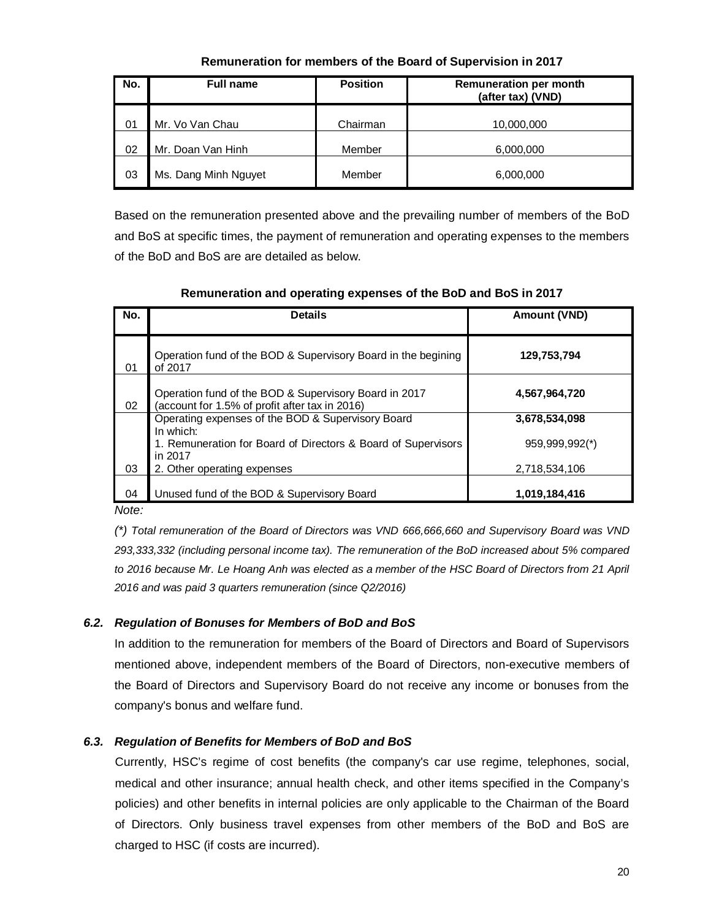## **Remuneration for members of the Board of Supervision in 2017**

| No. | <b>Full name</b>     | <b>Position</b> | Remuneration per month<br>(after tax) (VND) |
|-----|----------------------|-----------------|---------------------------------------------|
| -01 | Mr. Vo Van Chau      | Chairman        | 10,000,000                                  |
| 02  | Mr. Doan Van Hinh    | Member          | 6,000,000                                   |
| 03  | Ms. Dang Minh Nguyet | Member          | 6,000,000                                   |

Based on the remuneration presented above and the prevailing number of members of the BoD and BoS at specific times, the payment of remuneration and operating expenses to the members of the BoD and BoS are are detailed as below.

| No. | <b>Details</b>                                                                                          | Amount (VND)   |
|-----|---------------------------------------------------------------------------------------------------------|----------------|
| 01  | Operation fund of the BOD & Supervisory Board in the begining<br>of 2017                                | 129,753,794    |
| 02  | Operation fund of the BOD & Supervisory Board in 2017<br>(account for 1.5% of profit after tax in 2016) | 4,567,964,720  |
|     | Operating expenses of the BOD & Supervisory Board<br>In which:                                          | 3,678,534,098  |
|     | 1. Remuneration for Board of Directors & Board of Supervisors<br>in 2017                                | 959,999,992(*) |
| 03  | 2. Other operating expenses                                                                             | 2,718,534,106  |
| 04  | Unused fund of the BOD & Supervisory Board                                                              | 1,019,184,416  |

# **Remuneration and operating expenses of the BoD and BoS in 2017**

*Note:*

*(\*) Total remuneration of the Board of Directors was VND 666,666,660 and Supervisory Board was VND 293,333,332 (including personal income tax). The remuneration of the BoD increased about 5% compared to 2016 because Mr. Le Hoang Anh was elected as a member of the HSC Board of Directors from 21 April 2016 and was paid 3 quarters remuneration (since Q2/2016)*

# *6.2. Regulation of Bonuses for Members of BoD and BoS*

In addition to the remuneration for members of the Board of Directors and Board of Supervisors mentioned above, independent members of the Board of Directors, non-executive members of the Board of Directors and Supervisory Board do not receive any income or bonuses from the company's bonus and welfare fund.

# *6.3. Regulation of Benefits for Members of BoD and BoS*

Currently, HSC's regime of cost benefits (the company's car use regime, telephones, social, medical and other insurance; annual health check, and other items specified in the Company's policies) and other benefits in internal policies are only applicable to the Chairman of the Board of Directors. Only business travel expenses from other members of the BoD and BoS are charged to HSC (if costs are incurred).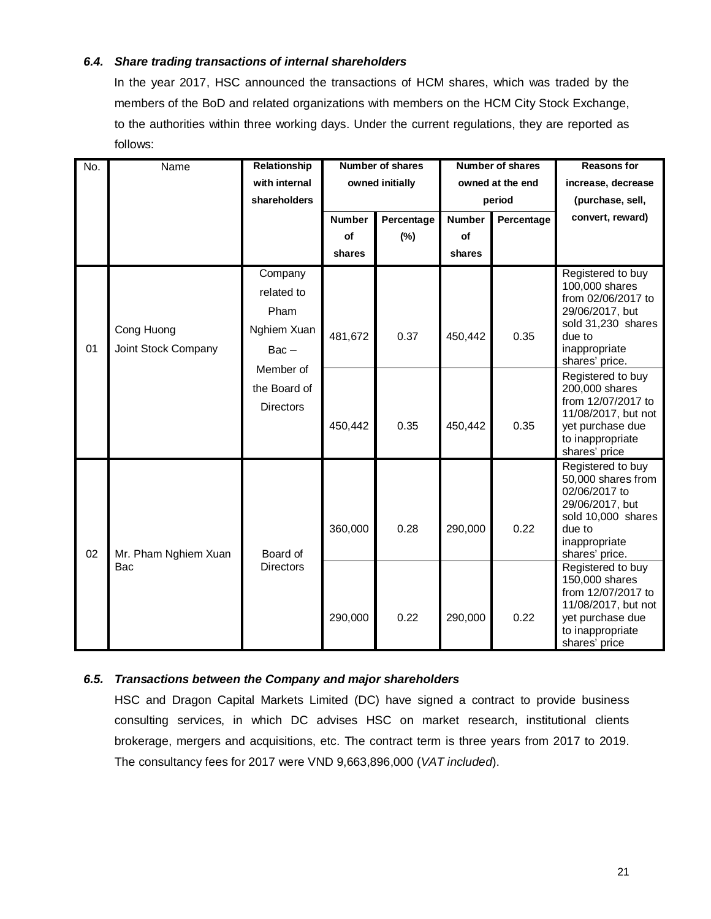# *6.4. Share trading transactions of internal shareholders*

In the year 2017, HSC announced the transactions of HCM shares, which was traded by the members of the BoD and related organizations with members on the HCM City Stock Exchange, to the authorities within three working days. Under the current regulations, they are reported as follows:

| No. | Name                              | Relationship                                                                                             | Number of shares |            | <b>Number of shares</b> |            | <b>Reasons for</b>                                                                                                                              |
|-----|-----------------------------------|----------------------------------------------------------------------------------------------------------|------------------|------------|-------------------------|------------|-------------------------------------------------------------------------------------------------------------------------------------------------|
|     |                                   | with internal                                                                                            | owned initially  |            | owned at the end        |            | increase, decrease                                                                                                                              |
|     |                                   | shareholders                                                                                             |                  |            | period                  |            | (purchase, sell,                                                                                                                                |
|     |                                   |                                                                                                          | <b>Number</b>    | Percentage | <b>Number</b>           | Percentage | convert, reward)                                                                                                                                |
|     |                                   |                                                                                                          | of               | $(\%)$     | of                      |            |                                                                                                                                                 |
|     |                                   |                                                                                                          | shares           |            | shares                  |            |                                                                                                                                                 |
| 01  | Cong Huong<br>Joint Stock Company | Company<br>related to<br>Pham<br>Nghiem Xuan<br>$Bac -$<br>Member of<br>the Board of<br><b>Directors</b> | 481,672          | 0.37       | 450,442                 | 0.35       | Registered to buy<br>100,000 shares<br>from 02/06/2017 to<br>29/06/2017, but<br>sold 31,230 shares<br>due to<br>inappropriate<br>shares' price. |
|     |                                   |                                                                                                          | 450,442          | 0.35       | 450,442                 | 0.35       | Registered to buy<br>200,000 shares<br>from 12/07/2017 to<br>11/08/2017, but not<br>yet purchase due<br>to inappropriate<br>shares' price       |
| 02  | Mr. Pham Nghiem Xuan<br>Bac       | Board of<br><b>Directors</b>                                                                             | 360,000          | 0.28       | 290,000                 | 0.22       | Registered to buy<br>50,000 shares from<br>02/06/2017 to<br>29/06/2017, but<br>sold 10,000 shares<br>due to<br>inappropriate<br>shares' price.  |
|     |                                   |                                                                                                          | 290,000          | 0.22       | 290,000                 | 0.22       | Registered to buy<br>150,000 shares<br>from 12/07/2017 to<br>11/08/2017, but not<br>yet purchase due<br>to inappropriate<br>shares' price       |

# *6.5. Transactions between the Company and major shareholders*

HSC and Dragon Capital Markets Limited (DC) have signed a contract to provide business consulting services, in which DC advises HSC on market research, institutional clients brokerage, mergers and acquisitions, etc. The contract term is three years from 2017 to 2019. The consultancy fees for 2017 were VND 9,663,896,000 (*VAT included*).